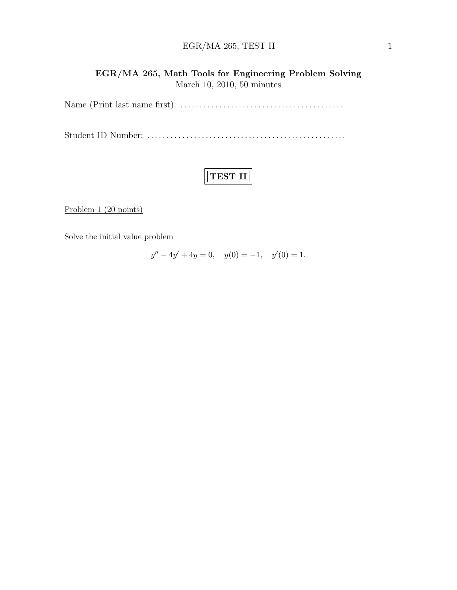### $EGR/MA$  265, TEST II 1

### EGR/MA 265, Math Tools for Engineering Problem Solving March 10, 2010, 50 minutes

Name (Print last name first): . . . . . . . . . . . . . . . . . . . . . . . . . . . . . . . . . . . . . . . . . .

Student ID Number: . . . . . . . . . . . . . . . . . . . . . . . . . . . . . . . . . . . . . . . . . . . . . . . . . . .

# TEST II

Problem 1 (20 points)

Solve the initial value problem

 $y'' - 4y' + 4y = 0$ ,  $y(0) = -1$ ,  $y'(0) = 1$ .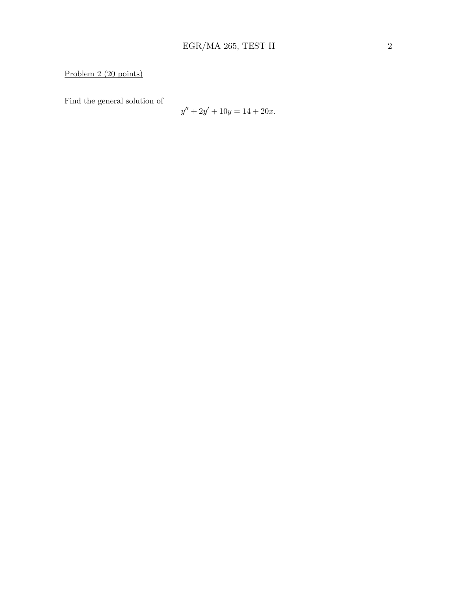Find the general solution of

$$
y'' + 2y' + 10y = 14 + 20x.
$$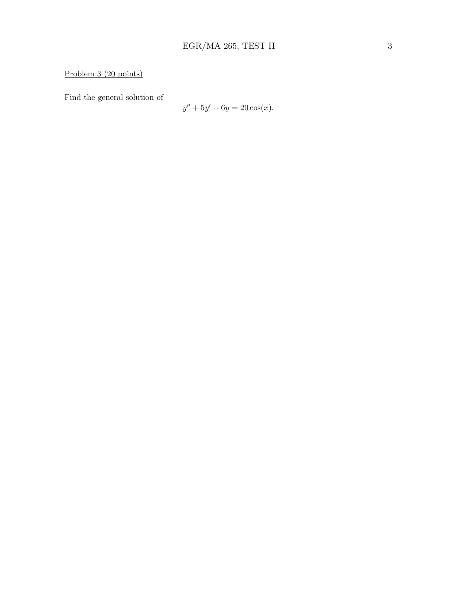Problem 3 (20 points)

Find the general solution of

$$
y'' + 5y' + 6y = 20\cos(x).
$$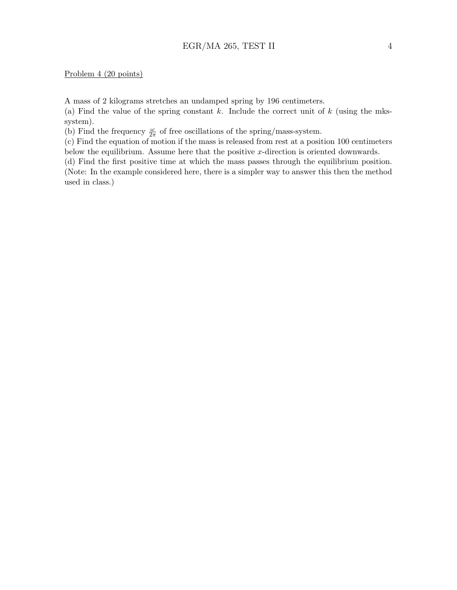#### Problem 4 (20 points)

A mass of 2 kilograms stretches an undamped spring by 196 centimeters.

(a) Find the value of the spring constant k. Include the correct unit of  $k$  (using the mkssystem).

(b) Find the frequency  $\frac{\omega}{2\pi}$  of free oscillations of the spring/mass-system.

(c) Find the equation of motion if the mass is released from rest at a position 100 centimeters below the equilibrium. Assume here that the positive  $x$ -direction is oriented downwards.

(d) Find the first positive time at which the mass passes through the equilibrium position. (Note: In the example considered here, there is a simpler way to answer this then the method used in class.)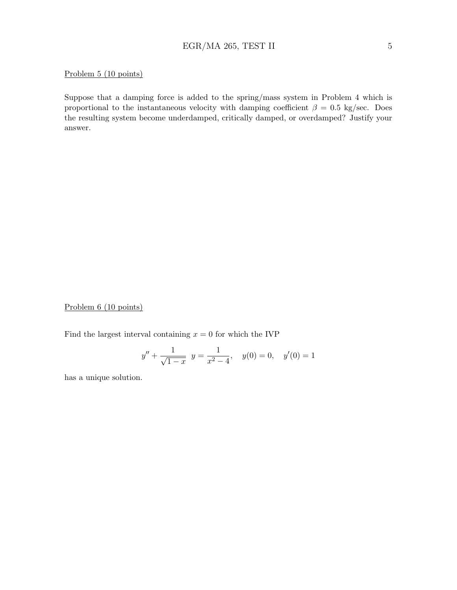### $EGR/MA$  265, TEST II 5

#### Problem 5 (10 points)

Suppose that a damping force is added to the spring/mass system in Problem 4 which is proportional to the instantaneous velocity with damping coefficient  $\beta = 0.5$  kg/sec. Does the resulting system become underdamped, critically damped, or overdamped? Justify your answer.

Problem 6 (10 points)

Find the largest interval containing  $x = 0$  for which the IVP

$$
y'' + \frac{1}{\sqrt{1-x}}
$$
  $y = \frac{1}{x^2 - 4}$ ,  $y(0) = 0$ ,  $y'(0) = 1$ 

has a unique solution.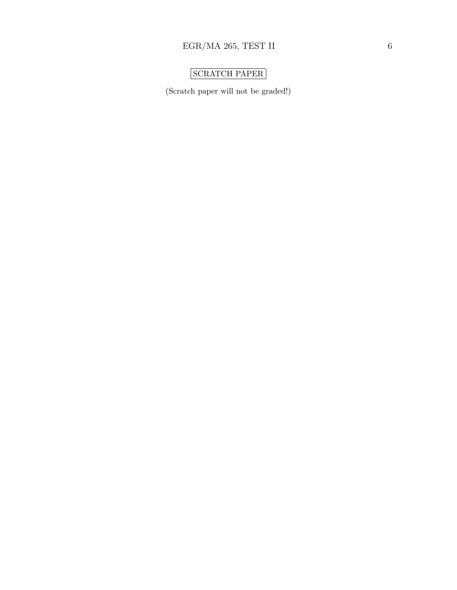## SCRATCH PAPER

(Scratch paper will not be graded!)